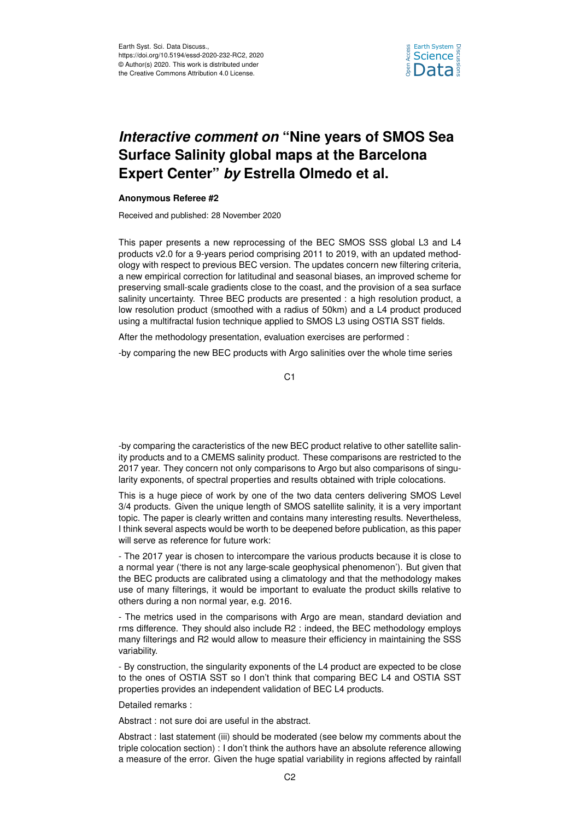

## *Interactive comment on* **"Nine years of SMOS Sea Surface Salinity global maps at the Barcelona Expert Center"** *by* **Estrella Olmedo et al.**

## **Anonymous Referee #2**

Received and published: 28 November 2020

This paper presents a new reprocessing of the BEC SMOS SSS global L3 and L4 products v2.0 for a 9-years period comprising 2011 to 2019, with an updated methodology with respect to previous BEC version. The updates concern new filtering criteria, a new empirical correction for latitudinal and seasonal biases, an improved scheme for preserving small-scale gradients close to the coast, and the provision of a sea surface salinity uncertainty. Three BEC products are presented : a high resolution product, a low resolution product (smoothed with a radius of 50km) and a L4 product produced using a multifractal fusion technique applied to SMOS L3 using OSTIA SST fields.

After the methodology presentation, evaluation exercises are performed :

-by comparing the new BEC products with Argo salinities over the whole time series

C1

-by comparing the caracteristics of the new BEC product relative to other satellite salinity products and to a CMEMS salinity product. These comparisons are restricted to the 2017 year. They concern not only comparisons to Argo but also comparisons of singularity exponents, of spectral properties and results obtained with triple colocations.

This is a huge piece of work by one of the two data centers delivering SMOS Level 3/4 products. Given the unique length of SMOS satellite salinity, it is a very important topic. The paper is clearly written and contains many interesting results. Nevertheless, I think several aspects would be worth to be deepened before publication, as this paper will serve as reference for future work:

- The 2017 year is chosen to intercompare the various products because it is close to a normal year ('there is not any large-scale geophysical phenomenon'). But given that the BEC products are calibrated using a climatology and that the methodology makes use of many filterings, it would be important to evaluate the product skills relative to others during a non normal year, e.g. 2016.

- The metrics used in the comparisons with Argo are mean, standard deviation and rms difference. They should also include R2 : indeed, the BEC methodology employs many filterings and R2 would allow to measure their efficiency in maintaining the SSS variability.

- By construction, the singularity exponents of the L4 product are expected to be close to the ones of OSTIA SST so I don't think that comparing BEC L4 and OSTIA SST properties provides an independent validation of BEC L4 products.

Detailed remarks :

Abstract : not sure doi are useful in the abstract.

Abstract : last statement (iii) should be moderated (see below my comments about the triple colocation section) : I don't think the authors have an absolute reference allowing a measure of the error. Given the huge spatial variability in regions affected by rainfall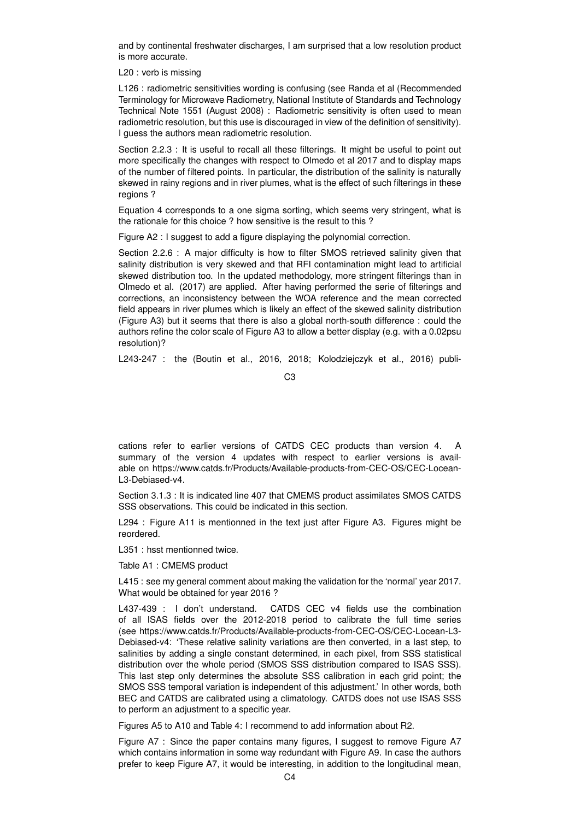and by continental freshwater discharges, I am surprised that a low resolution product is more accurate.

L20 : verb is missing

L126 : radiometric sensitivities wording is confusing (see Randa et al (Recommended Terminology for Microwave Radiometry, National Institute of Standards and Technology Technical Note 1551 (August 2008) : Radiometric sensitivity is often used to mean radiometric resolution, but this use is discouraged in view of the definition of sensitivity). I guess the authors mean radiometric resolution.

Section 2.2.3 : It is useful to recall all these filterings. It might be useful to point out more specifically the changes with respect to Olmedo et al 2017 and to display maps of the number of filtered points. In particular, the distribution of the salinity is naturally skewed in rainy regions and in river plumes, what is the effect of such filterings in these regions ?

Equation 4 corresponds to a one sigma sorting, which seems very stringent, what is the rationale for this choice ? how sensitive is the result to this ?

Figure A2 : I suggest to add a figure displaying the polynomial correction.

Section 2.2.6 : A major difficulty is how to filter SMOS retrieved salinity given that salinity distribution is very skewed and that RFI contamination might lead to artificial skewed distribution too. In the updated methodology, more stringent filterings than in Olmedo et al. (2017) are applied. After having performed the serie of filterings and corrections, an inconsistency between the WOA reference and the mean corrected field appears in river plumes which is likely an effect of the skewed salinity distribution (Figure A3) but it seems that there is also a global north-south difference : could the authors refine the color scale of Figure A3 to allow a better display (e.g. with a 0.02psu resolution)?

L243-247 : the (Boutin et al., 2016, 2018; Kolodziejczyk et al., 2016) publi-

cations refer to earlier versions of CATDS CEC products than version 4. A summary of the version 4 updates with respect to earlier versions is available on https://www.catds.fr/Products/Available-products-from-CEC-OS/CEC-Locean-L3-Debiased-v4.

Section 3.1.3 : It is indicated line 407 that CMEMS product assimilates SMOS CATDS SSS observations. This could be indicated in this section.

L294 : Figure A11 is mentionned in the text just after Figure A3. Figures might be reordered.

L351 : hsst mentionned twice.

Table A1 : CMEMS product

L415 : see my general comment about making the validation for the 'normal' year 2017. What would be obtained for year 2016 ?

L437-439 : I don't understand. CATDS CEC v4 fields use the combination of all ISAS fields over the 2012-2018 period to calibrate the full time series (see https://www.catds.fr/Products/Available-products-from-CEC-OS/CEC-Locean-L3- Debiased-v4: 'These relative salinity variations are then converted, in a last step, to salinities by adding a single constant determined, in each pixel, from SSS statistical distribution over the whole period (SMOS SSS distribution compared to ISAS SSS). This last step only determines the absolute SSS calibration in each grid point; the SMOS SSS temporal variation is independent of this adjustment.' In other words, both BEC and CATDS are calibrated using a climatology. CATDS does not use ISAS SSS to perform an adjustment to a specific year.

Figures A5 to A10 and Table 4: I recommend to add information about R2.

Figure A7 : Since the paper contains many figures, I suggest to remove Figure A7 which contains information in some way redundant with Figure A9. In case the authors prefer to keep Figure A7, it would be interesting, in addition to the longitudinal mean,

 $C<sub>3</sub>$